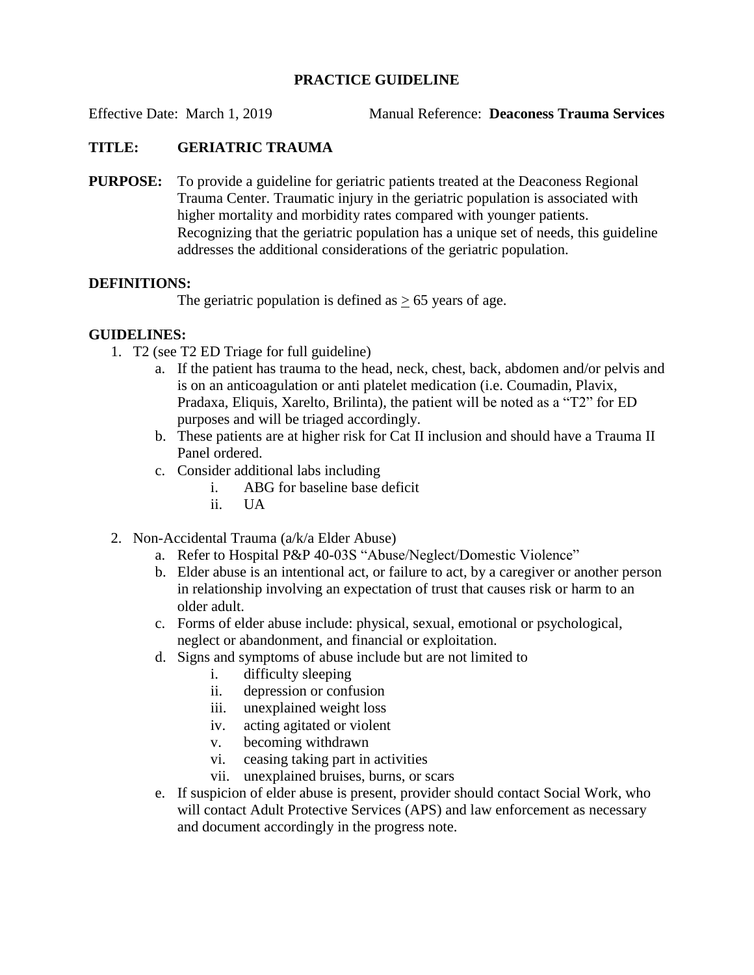### **PRACTICE GUIDELINE**

Effective Date: March 1, 2019 Manual Reference: **Deaconess Trauma Services**

# **TITLE: GERIATRIC TRAUMA**

**PURPOSE:** To provide a guideline for geriatric patients treated at the Deaconess Regional Trauma Center. Traumatic injury in the geriatric population is associated with higher mortality and morbidity rates compared with younger patients. Recognizing that the geriatric population has a unique set of needs, this guideline addresses the additional considerations of the geriatric population.

#### **DEFINITIONS:**

The geriatric population is defined as  $> 65$  years of age.

## **GUIDELINES:**

- 1. T2 (see T2 ED Triage for full guideline)
	- a. If the patient has trauma to the head, neck, chest, back, abdomen and/or pelvis and is on an anticoagulation or anti platelet medication (i.e. Coumadin, Plavix, Pradaxa, Eliquis, Xarelto, Brilinta), the patient will be noted as a "T2" for ED purposes and will be triaged accordingly.
	- b. These patients are at higher risk for Cat II inclusion and should have a Trauma II Panel ordered.
	- c. Consider additional labs including
		- i. ABG for baseline base deficit
		- ii. UA
- 2. Non-Accidental Trauma (a/k/a Elder Abuse)
	- a. Refer to Hospital P&P 40-03S "Abuse/Neglect/Domestic Violence"
	- b. Elder abuse is an intentional act, or failure to act, by a caregiver or another person in relationship involving an expectation of trust that causes risk or harm to an older adult.
	- c. Forms of elder abuse include: physical, sexual, emotional or psychological, neglect or abandonment, and financial or exploitation.
	- d. Signs and symptoms of abuse include but are not limited to
		- i. difficulty sleeping
		- ii. depression or confusion
		- iii. unexplained weight loss
		- iv. acting agitated or violent
		- v. becoming withdrawn
		- vi. ceasing taking part in activities
		- vii. unexplained bruises, burns, or scars
	- e. If suspicion of elder abuse is present, provider should contact Social Work, who will contact Adult Protective Services (APS) and law enforcement as necessary and document accordingly in the progress note.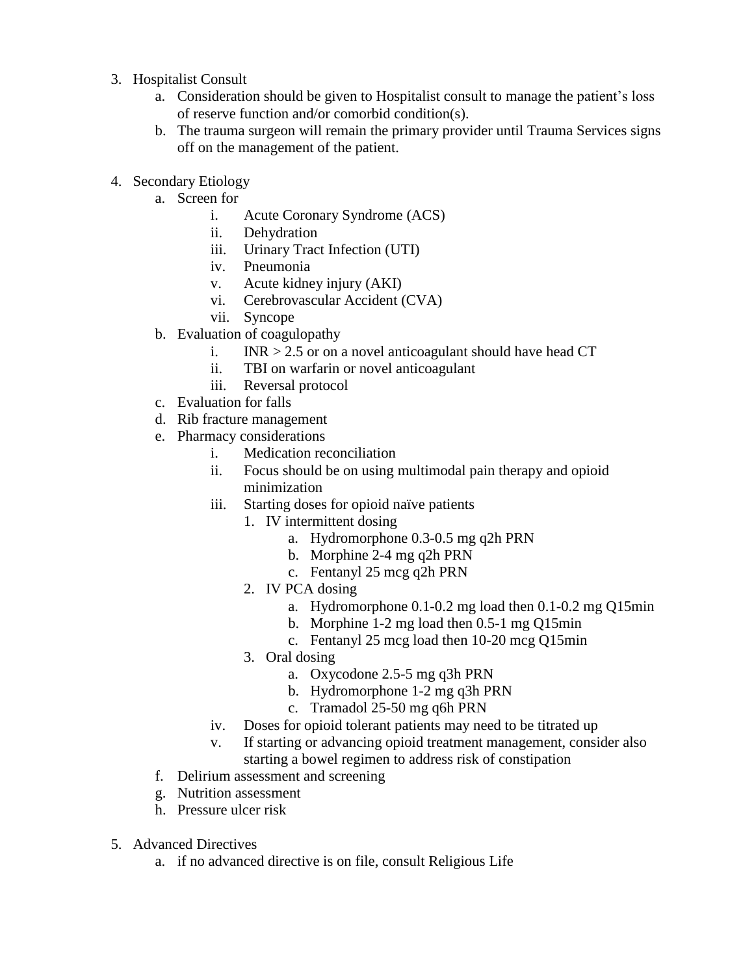- 3. Hospitalist Consult
	- a. Consideration should be given to Hospitalist consult to manage the patient's loss of reserve function and/or comorbid condition(s).
	- b. The trauma surgeon will remain the primary provider until Trauma Services signs off on the management of the patient.
- 4. Secondary Etiology
	- a. Screen for
		- i. Acute Coronary Syndrome (ACS)
		- ii. Dehydration
		- iii. Urinary Tract Infection (UTI)
		- iv. Pneumonia
		- v. Acute kidney injury (AKI)
		- vi. Cerebrovascular Accident (CVA)
		- vii. Syncope
	- b. Evaluation of coagulopathy
		- i. INR  $> 2.5$  or on a novel anticoagulant should have head CT
		- ii. TBI on warfarin or novel anticoagulant
		- iii. Reversal protocol
	- c. Evaluation for falls
	- d. Rib fracture management
	- e. Pharmacy considerations
		- i. Medication reconciliation
		- ii. Focus should be on using multimodal pain therapy and opioid minimization
		- iii. Starting doses for opioid naïve patients
			- 1. IV intermittent dosing
				- a. Hydromorphone 0.3-0.5 mg q2h PRN
				- b. Morphine 2-4 mg q2h PRN
				- c. Fentanyl 25 mcg q2h PRN
			- 2. IV PCA dosing
				- a. Hydromorphone 0.1-0.2 mg load then 0.1-0.2 mg Q15min
				- b. Morphine 1-2 mg load then 0.5-1 mg Q15min
				- c. Fentanyl 25 mcg load then 10-20 mcg Q15min
			- 3. Oral dosing
				- a. Oxycodone 2.5-5 mg q3h PRN
				- b. Hydromorphone 1-2 mg q3h PRN
				- c. Tramadol 25-50 mg q6h PRN
		- iv. Doses for opioid tolerant patients may need to be titrated up
		- v. If starting or advancing opioid treatment management, consider also starting a bowel regimen to address risk of constipation
	- f. Delirium assessment and screening
	- g. Nutrition assessment
	- h. Pressure ulcer risk
- 5. Advanced Directives
	- a. if no advanced directive is on file, consult Religious Life